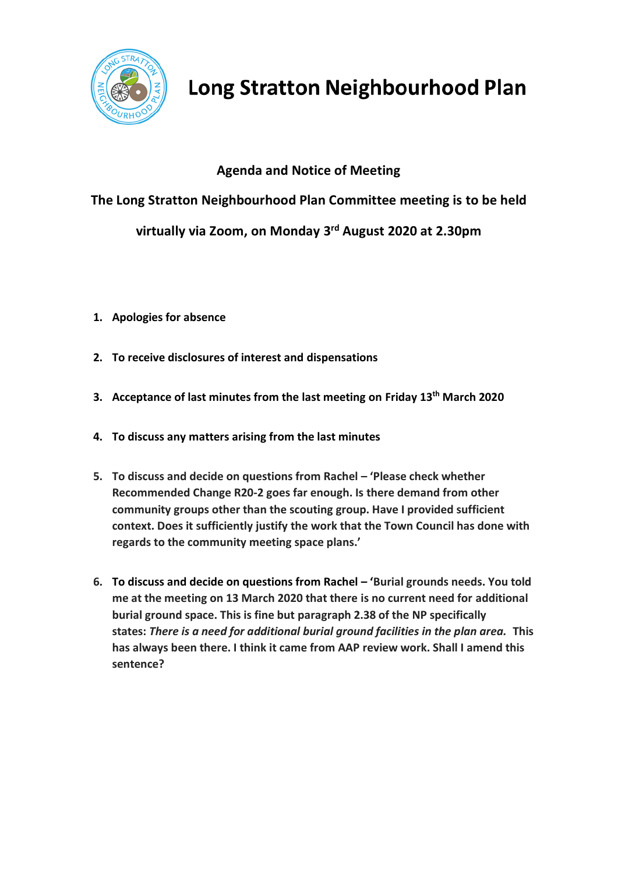

## **Long Stratton Neighbourhood Plan**

## **Agenda and Notice of Meeting**

**The Long Stratton Neighbourhood Plan Committee meeting is to be held virtually via Zoom, on Monday 3rd August 2020 at 2.30pm**

- **1. Apologies for absence**
- **2. To receive disclosures of interest and dispensations**
- **3. Acceptance of last minutes from the last meeting on Friday 13th March 2020**
- **4. To discuss any matters arising from the last minutes**
- **5. To discuss and decide on questions from Rachel – 'Please check whether Recommended Change R20-2 goes far enough. Is there demand from other community groups other than the scouting group. Have I provided sufficient context. Does it sufficiently justify the work that the Town Council has done with regards to the community meeting space plans.'**
- **6. To discuss and decide on questions from Rachel – 'Burial grounds needs. You told me at the meeting on 13 March 2020 that there is no current need for additional burial ground space. This is fine but paragraph 2.38 of the NP specifically states:** *There is a need for additional burial ground facilities in the plan area.* **This has always been there. I think it came from AAP review work. Shall I amend this sentence?**